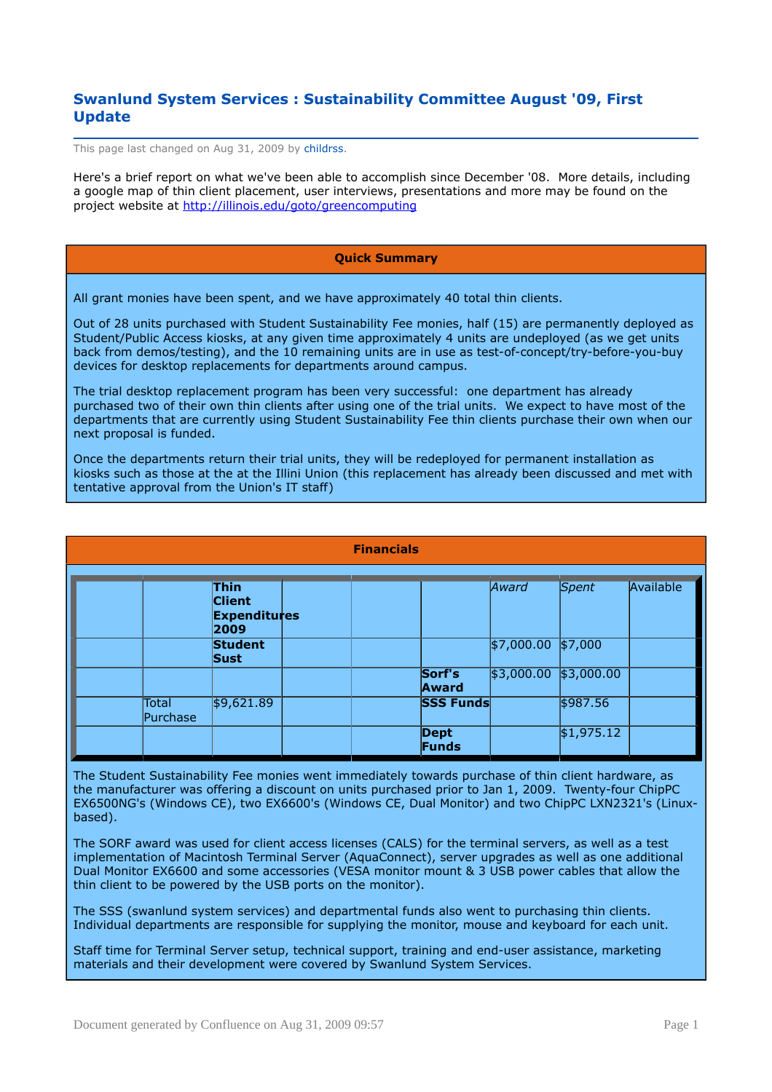# **Swanlund System Services : Sustainability Committee August '09, First Update**

This page last changed on Aug 31, 2009 by childrss.

Here's a brief report on what we've been able to accomplish since December '08. More details, including a google map of thin client placement, user interviews, presentations and more may be found on the project website at<http://illinois.edu/goto/greencomputing>

## **Quick Summary**

All grant monies have been spent, and we have approximately 40 total thin clients.

Out of 28 units purchased with Student Sustainability Fee monies, half (15) are permanently deployed as Student/Public Access kiosks, at any given time approximately 4 units are undeployed (as we get units back from demos/testing), and the 10 remaining units are in use as test-of-concept/try-before-you-buy devices for desktop replacements for departments around campus.

The trial desktop replacement program has been very successful: one department has already purchased two of their own thin clients after using one of the trial units. We expect to have most of the departments that are currently using Student Sustainability Fee thin clients purchase their own when our next proposal is funded.

Once the departments return their trial units, they will be redeployed for permanent installation as kiosks such as those at the at the Illini Union (this replacement has already been discussed and met with tentative approval from the Union's IT staff)

| <b>Financials</b> |                                                             |  |  |                      |            |            |           |
|-------------------|-------------------------------------------------------------|--|--|----------------------|------------|------------|-----------|
|                   | <b>Thin</b><br><b>Client</b><br><b>Expenditures</b><br>2009 |  |  |                      | Award      | Spent      | Available |
|                   | <b>Student</b><br><b>Sust</b>                               |  |  |                      | \$7,000.00 | \$7,000    |           |
|                   |                                                             |  |  | Sorf's<br>Award      | \$3,000.00 | \$3,000.00 |           |
| Total<br>Purchase | \$9,621.89                                                  |  |  | <b>SSS Funds</b>     |            | \$987.56   |           |
|                   |                                                             |  |  | <b>Dept</b><br>Funds |            | \$1,975.12 |           |

The Student Sustainability Fee monies went immediately towards purchase of thin client hardware, as the manufacturer was offering a discount on units purchased prior to Jan 1, 2009. Twenty-four ChipPC EX6500NG's (Windows CE), two EX6600's (Windows CE, Dual Monitor) and two ChipPC LXN2321's (Linuxbased).

The SORF award was used for client access licenses (CALS) for the terminal servers, as well as a test implementation of Macintosh Terminal Server (AquaConnect), server upgrades as well as one additional Dual Monitor EX6600 and some accessories (VESA monitor mount & 3 USB power cables that allow the thin client to be powered by the USB ports on the monitor).

The SSS (swanlund system services) and departmental funds also went to purchasing thin clients. Individual departments are responsible for supplying the monitor, mouse and keyboard for each unit.

Staff time for Terminal Server setup, technical support, training and end-user assistance, marketing materials and their development were covered by Swanlund System Services.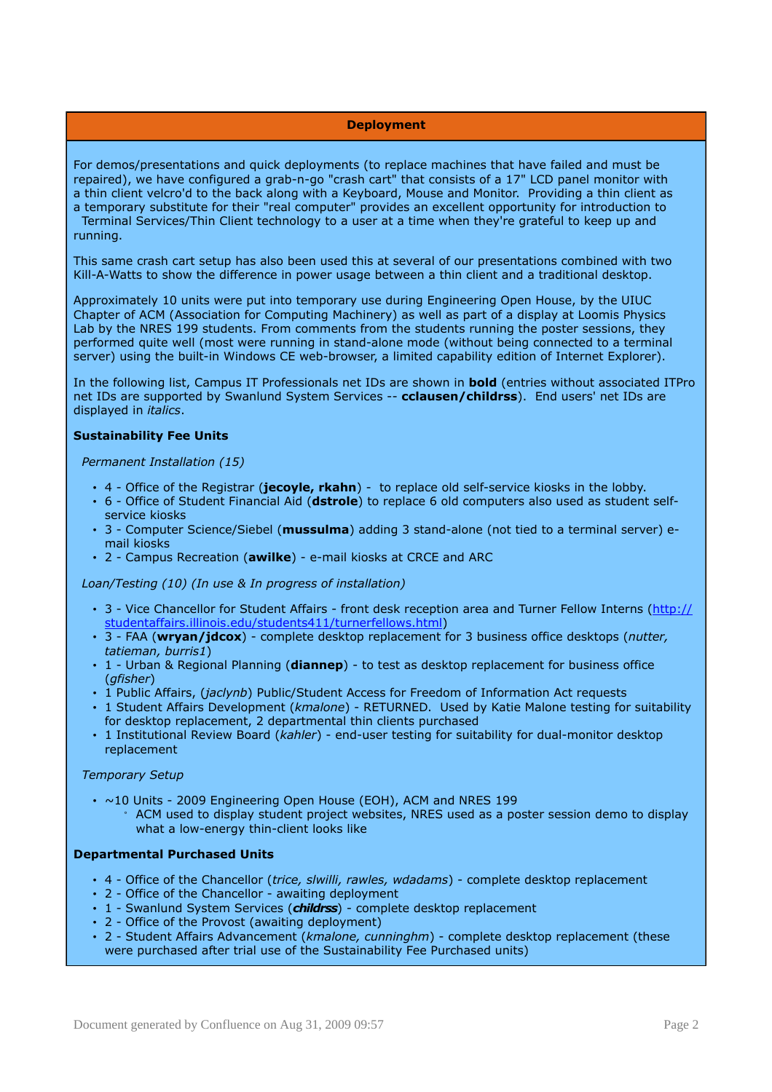## **Deployment**

For demos/presentations and quick deployments (to replace machines that have failed and must be repaired), we have configured a grab-n-go "crash cart" that consists of a 17" LCD panel monitor with a thin client velcro'd to the back along with a Keyboard, Mouse and Monitor. Providing a thin client as a temporary substitute for their "real computer" provides an excellent opportunity for introduction to Terminal Services/Thin Client technology to a user at a time when they're grateful to keep up and

This same crash cart setup has also been used this at several of our presentations combined with two Kill-A-Watts to show the difference in power usage between a thin client and a traditional desktop.

Approximately 10 units were put into temporary use during Engineering Open House, by the UIUC Chapter of ACM (Association for Computing Machinery) as well as part of a display at Loomis Physics Lab by the NRES 199 students. From comments from the students running the poster sessions, they performed quite well (most were running in stand-alone mode (without being connected to a terminal server) using the built-in Windows CE web-browser, a limited capability edition of Internet Explorer).

In the following list, Campus IT Professionals net IDs are shown in **bold** (entries without associated ITPro net IDs are supported by Swanlund System Services -- **cclausen/childrss**). End users' net IDs are displayed in *italics*.

## **Sustainability Fee Units**

running.

#### *Permanent Installation (15)*

- 4 Office of the Registrar (**jecoyle, rkahn**) to replace old self-service kiosks in the lobby.
- 6 Office of Student Financial Aid (**dstrole**) to replace 6 old computers also used as student selfservice kiosks
- 3 Computer Science/Siebel (**mussulma**) adding 3 stand-alone (not tied to a terminal server) email kiosks
- 2 Campus Recreation (**awilke**) e-mail kiosks at CRCE and ARC

#### *Loan/Testing (10) (In use & In progress of installation)*

- 3 Vice Chancellor for Student Affairs front desk reception area and Turner Fellow Interns [\(http://](http://studentaffairs.illinois.edu/students411/turnerfellows.html) [studentaffairs.illinois.edu/students411/turnerfellows.html\)](http://studentaffairs.illinois.edu/students411/turnerfellows.html)
- 3 FAA (**wryan/jdcox**) complete desktop replacement for 3 business office desktops (*nutter, tatieman, burris1*)
- 1 Urban & Regional Planning (**diannep**) to test as desktop replacement for business office (*gfisher*)
- 1 Public Affairs, (*jaclynb*) Public/Student Access for Freedom of Information Act requests
- 1 Student Affairs Development (*kmalone*) RETURNED. Used by Katie Malone testing for suitability for desktop replacement, 2 departmental thin clients purchased
- 1 Institutional Review Board (*kahler*) end-user testing for suitability for dual-monitor desktop replacement

## *Temporary Setup*

- ~10 Units 2009 Engineering Open House (EOH), ACM and NRES 199
	- ACM used to display student project websites, NRES used as a poster session demo to display what a low-energy thin-client looks like

#### **Departmental Purchased Units**

- 4 Office of the Chancellor (*trice, slwilli, rawles, wdadams*) complete desktop replacement
- 2 Office of the Chancellor awaiting deployment
- 1 Swanlund System Services (childrss) complete desktop replacement
- 2 Office of the Provost (awaiting deployment)
- 2 Student Affairs Advancement (*kmalone, cunninghm*) complete desktop replacement (these were purchased after trial use of the Sustainability Fee Purchased units)